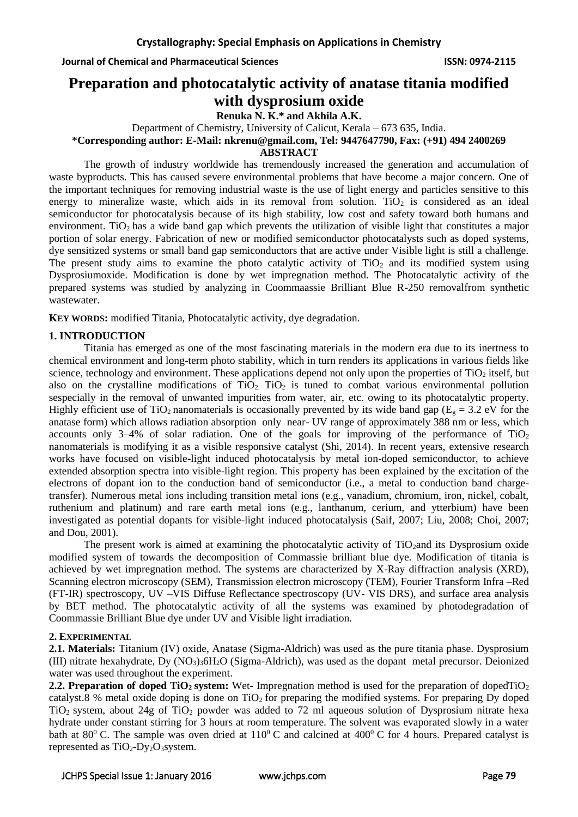**Journal of Chemical and Pharmaceutical Sciences ISSN: 0974-2115**

# **Preparation and photocatalytic activity of anatase titania modified with dysprosium oxide**

**Renuka N. K.\* and Akhila A.K.**

Department of Chemistry, University of Calicut, Kerala – 673 635, India.

**\*Corresponding author: E-Mail: nkrenu@gmail.com, Tel: 9447647790, Fax: (+91) 494 2400269**

#### **ABSTRACT**

The growth of industry worldwide has tremendously increased the generation and accumulation of waste byproducts. This has caused severe environmental problems that have become a major concern. One of the important techniques for removing industrial waste is the use of light energy and particles sensitive to this energy to mineralize waste, which aids in its removal from solution. TiO<sub>2</sub> is considered as an ideal semiconductor for photocatalysis because of its high stability, low cost and safety toward both humans and environment. TiO<sub>2</sub> has a wide band gap which prevents the utilization of visible light that constitutes a major portion of solar energy. Fabrication of new or modified semiconductor photocatalysts such as doped systems, dye sensitized systems or small band gap semiconductors that are active under Visible light is still a challenge. The present study aims to examine the photo catalytic activity of  $TiO<sub>2</sub>$  and its modified system using Dysprosiumoxide. Modification is done by wet impregnation method. The Photocatalytic activity of the prepared systems was studied by analyzing in Coommaassie Brilliant Blue R-250 removalfrom synthetic wastewater.

**KEY WORDS:** modified Titania, Photocatalytic activity, dye degradation.

# **1. INTRODUCTION**

Titania has emerged as one of the most fascinating materials in the modern era due to its inertness to chemical environment and long-term photo stability, which in turn renders its applications in various fields like science, technology and environment. These applications depend not only upon the properties of  $TiO<sub>2</sub>$  itself, but also on the crystalline modifications of  $TiO<sub>2</sub>$ . TiO<sub>2</sub> is tuned to combat various environmental pollution sespecially in the removal of unwanted impurities from water, air, etc. owing to its photocatalytic property. Highly efficient use of TiO<sub>2</sub> nanomaterials is occasionally prevented by its wide band gap ( $E<sub>g</sub> = 3.2$  eV for the anatase form) which allows radiation absorption only near- UV range of approximately 388 nm or less, which accounts only 3–4% of solar radiation. One of the goals for improving of the performance of  $TiO<sub>2</sub>$ nanomaterials is modifying it as a visible responsive catalyst (Shi, 2014). In recent years, extensive research works have focused on visible-light induced photocatalysis by metal ion-doped semiconductor, to achieve extended absorption spectra into visible-light region. This property has been explained by the excitation of the electrons of dopant ion to the conduction band of semiconductor (i.e., a metal to conduction band chargetransfer). Numerous metal ions including transition metal ions (e.g., vanadium, chromium, iron, nickel, cobalt, ruthenium and platinum) and rare earth metal ions (e.g., lanthanum, cerium, and ytterbium) have been investigated as potential dopants for visible-light induced photocatalysis (Saif, 2007; Liu, 2008; Choi, 2007; and Dou, 2001).

The present work is aimed at examining the photocatalytic activity of  $TiO<sub>2</sub>$  and its Dysprosium oxide modified system of towards the decomposition of Commassie brilliant blue dye. Modification of titania is achieved by wet impregnation method. The systems are characterized by X-Ray diffraction analysis (XRD), Scanning electron microscopy (SEM), Transmission electron microscopy (TEM), Fourier Transform Infra –Red (FT-IR) spectroscopy, UV –VIS Diffuse Reflectance spectroscopy (UV- VIS DRS), and surface area analysis by BET method. The photocatalytic activity of all the systems was examined by photodegradation of Coommassie Brilliant Blue dye under UV and Visible light irradiation.

# **2. EXPERIMENTAL**

**2.1. Materials:** Titanium (IV) oxide, Anatase (Sigma-Aldrich) was used as the pure titania phase. Dysprosium (III) nitrate hexahydrate, Dy (NO3)36H2O (Sigma-Aldrich), was used as the dopant metal precursor. Deionized water was used throughout the experiment.

**2.2. Preparation of doped TiO<sub>2</sub> system:** Wet- Impregnation method is used for the preparation of dopedTiO<sub>2</sub> catalyst.8 % metal oxide doping is done on  $TiO<sub>2</sub>$  for preparing the modified systems. For preparing Dy doped TiO<sub>2</sub> system, about 24g of TiO<sub>2</sub> powder was added to 72 ml aqueous solution of Dysprosium nitrate hexa hydrate under constant stirring for 3 hours at room temperature. The solvent was evaporated slowly in a water bath at  $80^{\circ}$  C. The sample was oven dried at  $110^{\circ}$  C and calcined at  $400^{\circ}$  C for 4 hours. Prepared catalyst is represented as  $TiO<sub>2</sub>-Dy<sub>2</sub>O<sub>3</sub>$  system.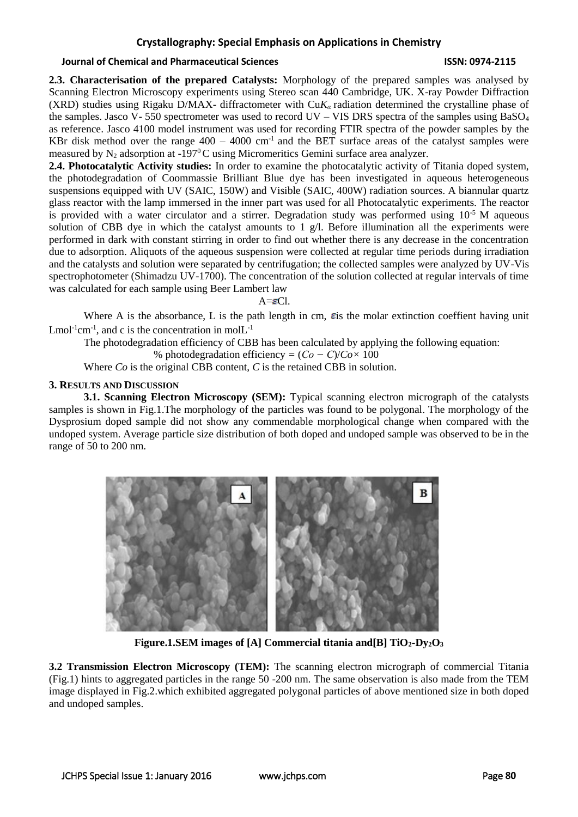# **Crystallography: Special Emphasis on Applications in Chemistry**

# **Journal of Chemical and Pharmaceutical Sciences ISSN: 0974-2115**

**2.3. Characterisation of the prepared Catalysts:** Morphology of the prepared samples was analysed by Scanning Electron Microscopy experiments using Stereo scan 440 Cambridge, UK. X-ray Powder Diffraction (XRD) studies using Rigaku D/MAX- diffractometer with Cu*Kα* radiation determined the crystalline phase of the samples. Jasco V- 550 spectrometer was used to record UV – VIS DRS spectra of the samples using  $BaSO<sub>4</sub>$ as reference. Jasco 4100 model instrument was used for recording FTIR spectra of the powder samples by the KBr disk method over the range  $400 - 4000$  cm<sup>-1</sup> and the BET surface areas of the catalyst samples were measured by  $N_2$  adsorption at -197<sup>0</sup>C using Micromeritics Gemini surface area analyzer.

**2.4. Photocatalytic Activity studies:** In order to examine the photocatalytic activity of Titania doped system, the photodegradation of Coommassie Brilliant Blue dye has been investigated in aqueous heterogeneous suspensions equipped with UV (SAIC, 150W) and Visible (SAIC, 400W) radiation sources. A biannular quartz glass reactor with the lamp immersed in the inner part was used for all Photocatalytic experiments. The reactor is provided with a water circulator and a stirrer. Degradation study was performed using  $10^{-5}$  M aqueous solution of CBB dye in which the catalyst amounts to 1  $g/l$ . Before illumination all the experiments were performed in dark with constant stirring in order to find out whether there is any decrease in the concentration due to adsorption. Aliquots of the aqueous suspension were collected at regular time periods during irradiation and the catalysts and solution were separated by centrifugation; the collected samples were analyzed by UV-Vis spectrophotometer (Shimadzu UV-1700). The concentration of the solution collected at regular intervals of time was calculated for each sample using Beer Lambert law

 $A = ECl$ .

Where A is the absorbance, L is the path length in cm,  $\epsilon$  is the molar extinction coeffient having unit  $L$ mol<sup>-1</sup>cm<sup>-1</sup>, and c is the concentration in mol $L$ <sup>-1</sup>

The photodegradation efficiency of CBB has been calculated by applying the following equation:

% photodegradation efficiency *=* (*Co − C*)/*Co×* 100

Where *Co* is the original CBB content, *C* is the retained CBB in solution.

## **3. RESULTS AND DISCUSSION**

**3.1. Scanning Electron Microscopy (SEM):** Typical scanning electron micrograph of the catalysts samples is shown in Fig.1.The morphology of the particles was found to be polygonal. The morphology of the Dysprosium doped sample did not show any commendable morphological change when compared with the undoped system. Average particle size distribution of both doped and undoped sample was observed to be in the range of 50 to 200 nm.



**Figure.1.SEM** images of [A] Commercial titania and [B]  $TiO_2$ **-D** $v_2O_3$ 

**3.2 Transmission Electron Microscopy (TEM):** The scanning electron micrograph of commercial Titania (Fig.1) hints to aggregated particles in the range 50 -200 nm. The same observation is also made from the TEM image displayed in Fig.2.which exhibited aggregated polygonal particles of above mentioned size in both doped and undoped samples.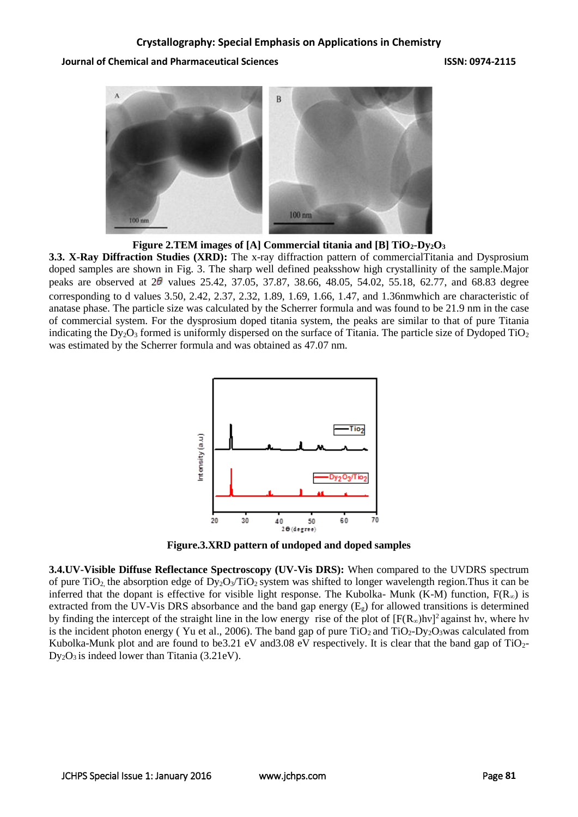## **Journal of Chemical and Pharmaceutical Sciences ISSN: 0974-2115**



**Figure 2.TEM images of [A] Commercial titania and [B] TiO2-Dy2O<sup>3</sup>**

**3.3. X-Ray Diffraction Studies (XRD):** The x-ray diffraction pattern of commercialTitania and Dysprosium doped samples are shown in Fig. 3. The sharp well defined peaksshow high crystallinity of the sample.Major peaks are observed at  $2\theta$  values 25.42, 37.05, 37.87, 38.66, 48.05, 54.02, 55.18, 62.77, and 68.83 degree corresponding to d values 3.50, 2.42, 2.37, 2.32, 1.89, 1.69, 1.66, 1.47, and 1.36nmwhich are characteristic of anatase phase. The particle size was calculated by the Scherrer formula and was found to be 21.9 nm in the case of commercial system. For the dysprosium doped titania system, the peaks are similar to that of pure Titania indicating the Dy<sub>2</sub>O<sub>3</sub> formed is uniformly dispersed on the surface of Titania. The particle size of Dydoped TiO<sub>2</sub> was estimated by the Scherrer formula and was obtained as 47.07 nm.



**Figure.3.XRD pattern of undoped and doped samples**

**3.4.UV-Visible Diffuse Reflectance Spectroscopy (UV-Vis DRS):** When compared to the UVDRS spectrum of pure TiO<sub>2</sub> the absorption edge of  $Dy_2O_3/TiO_2$  system was shifted to longer wavelength region. Thus it can be inferred that the dopant is effective for visible light response. The Kubolka- Munk (K-M) function,  $F(R_{\infty})$  is extracted from the UV-Vis DRS absorbance and the band gap energy  $(E<sub>g</sub>)$  for allowed transitions is determined by finding the intercept of the straight line in the low energy rise of the plot of  $[F(R_\infty)$ hv]<sup>2</sup> against hy, where hy is the incident photon energy (Yu et al., 2006). The band gap of pure  $TiO_2$  and  $TiO_2$ -Dy<sub>2</sub>O<sub>3</sub>was calculated from Kubolka-Munk plot and are found to be3.21 eV and 3.08 eV respectively. It is clear that the band gap of  $TiO<sub>2</sub>$ - $Dy_2O_3$  is indeed lower than Titania (3.21eV).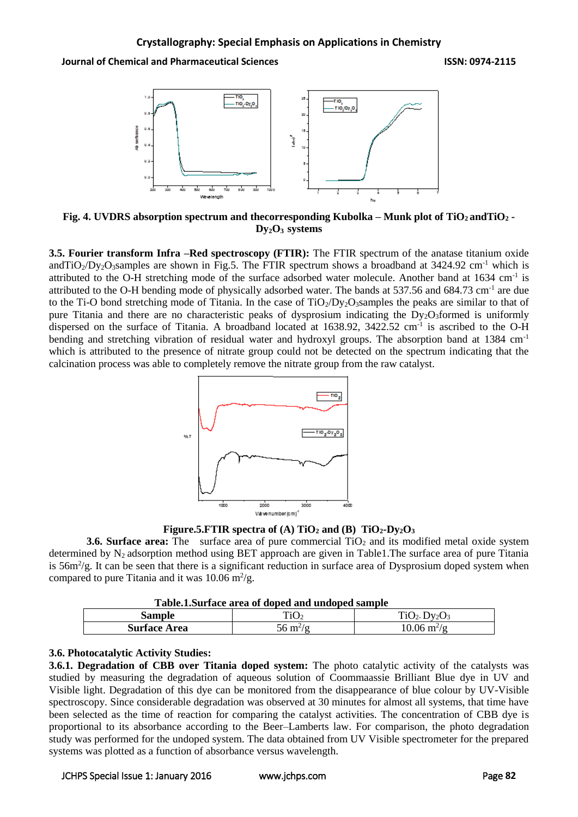**Journal of Chemical and Pharmaceutical Sciences ISSN: 0974-2115**



**Fig. 4. UVDRS absorption spectrum and thecorresponding Kubolka – Munk plot of TiO2 andTiO<sup>2</sup> - Dy2O3 systems**

**3.5. Fourier transform Infra –Red spectroscopy (FTIR):** The FTIR spectrum of the anatase titanium oxide andTiO<sub>2</sub>/Dy<sub>2</sub>O<sub>3</sub>samples are shown in Fig.5. The FTIR spectrum shows a broadband at  $3424.92 \text{ cm}^{-1}$  which is attributed to the O-H stretching mode of the surface adsorbed water molecule. Another band at 1634 cm<sup>-1</sup> is attributed to the O-H bending mode of physically adsorbed water. The bands at 537.56 and 684.73 cm<sup>-1</sup> are due to the Ti-O bond stretching mode of Titania. In the case of  $TiO<sub>2</sub>/Dy<sub>2</sub>O<sub>3</sub> samples$  the peaks are similar to that of pure Titania and there are no characteristic peaks of dysprosium indicating the  $Dy_2O_3$  formed is uniformly dispersed on the surface of Titania. A broadband located at 1638.92, 3422.52 cm<sup>-1</sup> is ascribed to the O-H bending and stretching vibration of residual water and hydroxyl groups. The absorption band at 1384 cm<sup>-1</sup> which is attributed to the presence of nitrate group could not be detected on the spectrum indicating that the calcination process was able to completely remove the nitrate group from the raw catalyst.



**Figure.5.FTIR spectra of (A) TiO<sub>2</sub> and (B) TiO<sub>2</sub>-Dy<sub>2</sub>O<sub>3</sub>** 

**3.6. Surface area:** The surface area of pure commercial TiO<sub>2</sub> and its modified metal oxide system determined by N<sub>2</sub> adsorption method using BET approach are given in Table1. The surface area of pure Titania is  $56m^2/g$ . It can be seen that there is a significant reduction in surface area of Dysprosium doped system when compared to pure Titania and it was  $10.06 \text{ m}^2/\text{g}$ .

| Table.1.Surface area of doped and undoped sample |  |  |  |  |
|--------------------------------------------------|--|--|--|--|
|--------------------------------------------------|--|--|--|--|

| Tuoitin di idee di ed doped dina dinaoped bailipie |                          |                                   |  |  |
|----------------------------------------------------|--------------------------|-----------------------------------|--|--|
| sample                                             | ⊥⊥∪                      | $\mathbf{v}$                      |  |  |
| <b>Surface Area</b>                                | m <sup>2</sup> /n<br>--- | $10.06 \,\mathrm{m}^2/\mathrm{g}$ |  |  |

# **3.6. Photocatalytic Activity Studies:**

**3.6.1. Degradation of CBB over Titania doped system:** The photo catalytic activity of the catalysts was studied by measuring the degradation of aqueous solution of Coommaassie Brilliant Blue dye in UV and Visible light. Degradation of this dye can be monitored from the disappearance of blue colour by UV-Visible spectroscopy. Since considerable degradation was observed at 30 minutes for almost all systems, that time have been selected as the time of reaction for comparing the catalyst activities. The concentration of CBB dye is proportional to its absorbance according to the Beer–Lamberts law. For comparison, the photo degradation study was performed for the undoped system. The data obtained from UV Visible spectrometer for the prepared systems was plotted as a function of absorbance versus wavelength.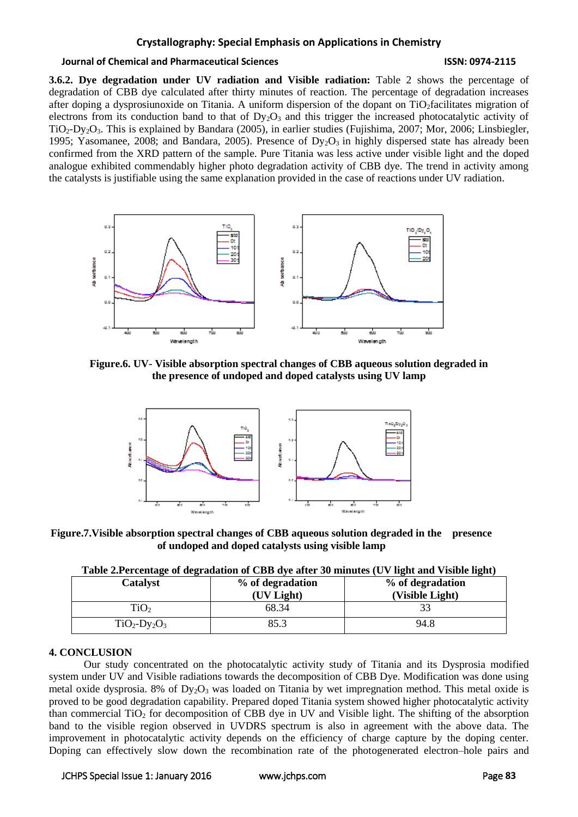# **Crystallography: Special Emphasis on Applications in Chemistry**

#### **Journal of Chemical and Pharmaceutical Sciences ISSN: 0974-2115**

**3.6.2. Dye degradation under UV radiation and Visible radiation:** Table 2 shows the percentage of degradation of CBB dye calculated after thirty minutes of reaction. The percentage of degradation increases after doping a dysprosiunoxide on Titania. A uniform dispersion of the dopant on TiO<sub>2</sub>facilitates migration of electrons from its conduction band to that of  $D_yO_3$  and this trigger the increased photocatalytic activity of TiO2-Dy2O3. This is explained by Bandara (2005), in earlier studies (Fujishima, 2007; Mor, 2006; Linsbiegler, 1995; Yasomanee, 2008; and Bandara, 2005). Presence of  $Dy_2O_3$  in highly dispersed state has already been confirmed from the XRD pattern of the sample. Pure Titania was less active under visible light and the doped analogue exhibited commendably higher photo degradation activity of CBB dye. The trend in activity among the catalysts is justifiable using the same explanation provided in the case of reactions under UV radiation.



**Figure.6. UV- Visible absorption spectral changes of CBB aqueous solution degraded in the presence of undoped and doped catalysts using UV lamp**



**Figure.7.Visible absorption spectral changes of CBB aqueous solution degraded in the presence of undoped and doped catalysts using visible lamp**

|  |  | Table 2.Percentage of degradation of CBB dye after 30 minutes (UV light and Visible light) |
|--|--|--------------------------------------------------------------------------------------------|
|  |  |                                                                                            |

| $\overline{\phantom{a}}$<br>Catalyst | % of degradation<br>(UV Light) | $\sim$<br>% of degradation<br>(Visible Light) |
|--------------------------------------|--------------------------------|-----------------------------------------------|
| TiO <sub>2</sub>                     | 68.34                          |                                               |
| $TiO2-Dy2O3$                         | 85.3                           | 94.8                                          |

## **4. CONCLUSION**

Our study concentrated on the photocatalytic activity study of Titania and its Dysprosia modified system under UV and Visible radiations towards the decomposition of CBB Dye. Modification was done using metal oxide dysprosia. 8% of  $Dy_2O_3$  was loaded on Titania by wet impregnation method. This metal oxide is proved to be good degradation capability. Prepared doped Titania system showed higher photocatalytic activity than commercial  $TiO<sub>2</sub>$  for decomposition of CBB dye in UV and Visible light. The shifting of the absorption band to the visible region observed in UVDRS spectrum is also in agreement with the above data. The improvement in photocatalytic activity depends on the efficiency of charge capture by the doping center. Doping can effectively slow down the recombination rate of the photogenerated electron–hole pairs and